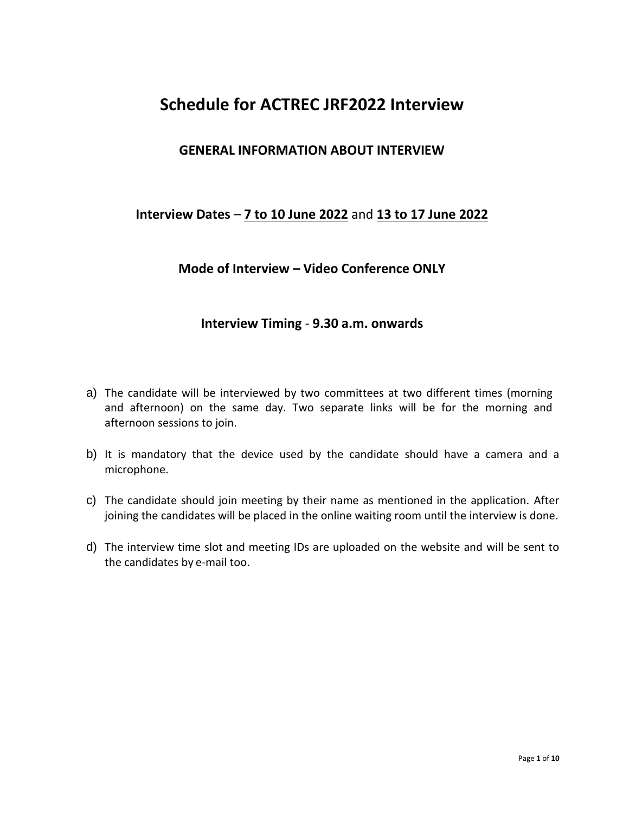## **Schedule for ACTREC JRF2022 Interview**

#### **GENERAL INFORMATION ABOUT INTERVIEW**

#### **Interview Dates** – **7 to 10 June 2022** and **13 to 17 June 2022**

#### **Mode of Interview – Video Conference ONLY**

#### **Interview Timing** - **9.30 a.m. onwards**

- a) The candidate will be interviewed by two committees at two different times (morning and afternoon) on the same day. Two separate links will be for the morning and afternoon sessions to join.
- b) It is mandatory that the device used by the candidate should have a camera and a microphone.
- c) The candidate should join meeting by their name as mentioned in the application. After joining the candidates will be placed in the online waiting room until the interview is done.
- d) The interview time slot and meeting IDs are uploaded on the website and will be sent to the candidates by e-mail too.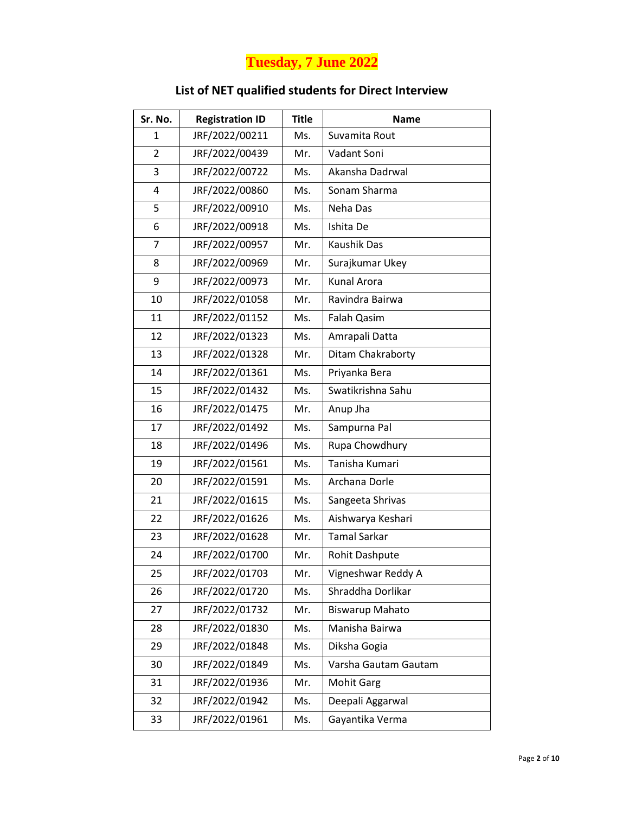# **Tuesday, 7 June 2022**

#### **List of NET qualified students for Direct Interview**

| Sr. No.        | <b>Registration ID</b> | <b>Title</b> | <b>Name</b>            |
|----------------|------------------------|--------------|------------------------|
| 1              | JRF/2022/00211         | Ms.          | Suvamita Rout          |
| $\overline{2}$ | JRF/2022/00439         | Mr.          | Vadant Soni            |
| 3              | JRF/2022/00722         | Ms.          | Akansha Dadrwal        |
| 4              | JRF/2022/00860         | Ms.          | Sonam Sharma           |
| 5              | JRF/2022/00910         | Ms.          | Neha Das               |
| 6              | JRF/2022/00918         | Ms.          | Ishita De              |
| $\overline{7}$ | JRF/2022/00957         | Mr.          | Kaushik Das            |
| 8              | JRF/2022/00969         | Mr.          | Surajkumar Ukey        |
| 9              | JRF/2022/00973         | Mr.          | <b>Kunal Arora</b>     |
| 10             | JRF/2022/01058         | Mr.          | Ravindra Bairwa        |
| 11             | JRF/2022/01152         | Ms.          | Falah Qasim            |
| 12             | JRF/2022/01323         | Ms.          | Amrapali Datta         |
| 13             | JRF/2022/01328         | Mr.          | Ditam Chakraborty      |
| 14             | JRF/2022/01361         | Ms.          | Priyanka Bera          |
| 15             | JRF/2022/01432         | Ms.          | Swatikrishna Sahu      |
| 16             | JRF/2022/01475         | Mr.          | Anup Jha               |
| 17             | JRF/2022/01492         | Ms.          | Sampurna Pal           |
| 18             | JRF/2022/01496         | Ms.          | Rupa Chowdhury         |
| 19             | JRF/2022/01561         | Ms.          | Tanisha Kumari         |
| 20             | JRF/2022/01591         | Ms.          | Archana Dorle          |
| 21             | JRF/2022/01615         | Ms.          | Sangeeta Shrivas       |
| 22             | JRF/2022/01626         | Ms.          | Aishwarya Keshari      |
| 23             | JRF/2022/01628         | Mr.          | <b>Tamal Sarkar</b>    |
| 24             | JRF/2022/01700         | Mr.          | Rohit Dashpute         |
| 25             | JRF/2022/01703         | Mr.          | Vigneshwar Reddy A     |
| 26             | JRF/2022/01720         | Ms.          | Shraddha Dorlikar      |
| 27             | JRF/2022/01732         | Mr.          | <b>Biswarup Mahato</b> |
| 28             | JRF/2022/01830         | Ms.          | Manisha Bairwa         |
| 29             | JRF/2022/01848         | Ms.          | Diksha Gogia           |
| 30             | JRF/2022/01849         | Ms.          | Varsha Gautam Gautam   |
| 31             | JRF/2022/01936         | Mr.          | <b>Mohit Garg</b>      |
| 32             | JRF/2022/01942         | Ms.          | Deepali Aggarwal       |
| 33             | JRF/2022/01961         | Ms.          | Gayantika Verma        |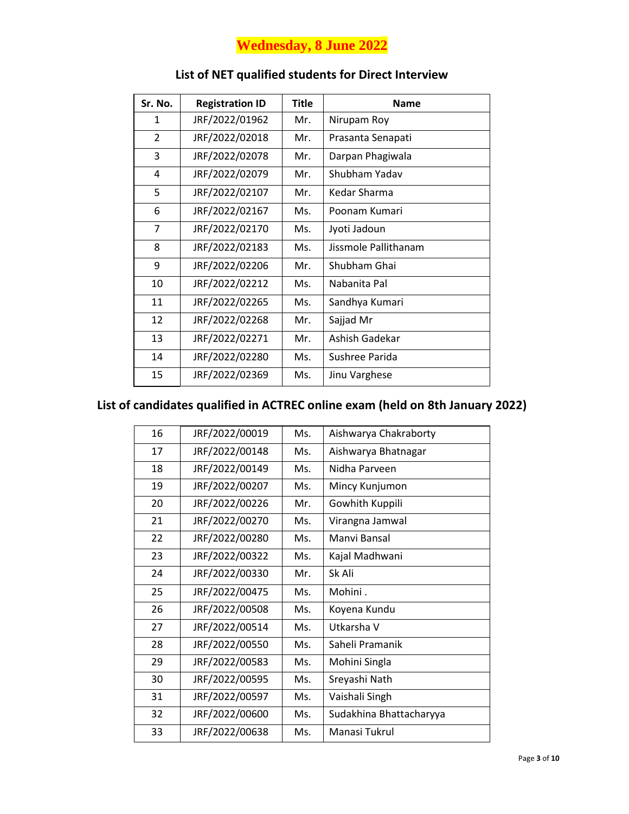## **Wednesday, 8 June 2022**

| Sr. No.        | <b>Registration ID</b> | Title | <b>Name</b>          |
|----------------|------------------------|-------|----------------------|
| $\mathbf{1}$   | JRF/2022/01962         | Mr.   | Nirupam Roy          |
| $\overline{2}$ | JRF/2022/02018         | Mr.   | Prasanta Senapati    |
| 3              | JRF/2022/02078         | Mr.   | Darpan Phagiwala     |
| 4              | JRF/2022/02079         | Mr.   | Shubham Yadav        |
| 5              | JRF/2022/02107         | Mr.   | Kedar Sharma         |
| 6              | JRF/2022/02167         | Ms.   | Poonam Kumari        |
| 7              | JRF/2022/02170         | Ms.   | Jyoti Jadoun         |
| 8              | JRF/2022/02183         | Ms.   | Jissmole Pallithanam |
| 9              | JRF/2022/02206         | Mr.   | Shubham Ghai         |
| 10             | JRF/2022/02212         | Ms.   | Nabanita Pal         |
| 11             | JRF/2022/02265         | Ms.   | Sandhya Kumari       |
| 12             | JRF/2022/02268         | Mr.   | Sajjad Mr            |
| 13             | JRF/2022/02271         | Mr.   | Ashish Gadekar       |
| 14             | JRF/2022/02280         | Ms.   | Sushree Parida       |
| 15             | JRF/2022/02369         | Ms.   | Jinu Varghese        |

#### **List of NET qualified students for Direct Interview**

| 16 | JRF/2022/00019 | Ms. | Aishwarya Chakraborty   |
|----|----------------|-----|-------------------------|
| 17 | JRF/2022/00148 | Ms. | Aishwarya Bhatnagar     |
| 18 | JRF/2022/00149 | Ms. | Nidha Parveen           |
| 19 | JRF/2022/00207 | Ms. | Mincy Kunjumon          |
| 20 | JRF/2022/00226 | Mr. | Gowhith Kuppili         |
| 21 | JRF/2022/00270 | Ms. | Virangna Jamwal         |
| 22 | JRF/2022/00280 | Ms. | Manyi Bansal            |
| 23 | JRF/2022/00322 | Ms. | Kajal Madhwani          |
| 24 | JRF/2022/00330 | Mr. | Sk Ali                  |
| 25 | JRF/2022/00475 | Ms. | Mohini.                 |
| 26 | JRF/2022/00508 | Ms. | Koyena Kundu            |
| 27 | JRF/2022/00514 | Ms. | Utkarsha V              |
| 28 | JRF/2022/00550 | Ms. | Saheli Pramanik         |
| 29 | JRF/2022/00583 | Ms. | Mohini Singla           |
| 30 | JRF/2022/00595 | Ms. | Sreyashi Nath           |
| 31 | JRF/2022/00597 | Ms. | Vaishali Singh          |
| 32 | JRF/2022/00600 | Ms. | Sudakhina Bhattacharyya |
| 33 | JRF/2022/00638 | Ms. | Manasi Tukrul           |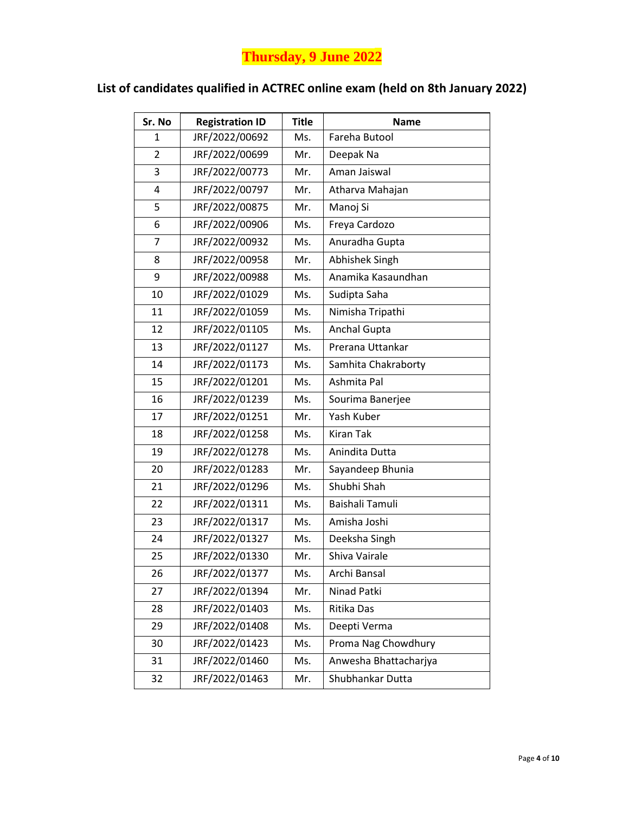# **Thursday, 9 June 2022**

| Sr. No | <b>Registration ID</b> | <b>Title</b> | <b>Name</b>           |
|--------|------------------------|--------------|-----------------------|
| 1      | JRF/2022/00692         | Ms.          | Fareha Butool         |
| 2      | JRF/2022/00699         | Mr.          | Deepak Na             |
| 3      | JRF/2022/00773         | Mr.          | Aman Jaiswal          |
| 4      | JRF/2022/00797         | Mr.          | Atharva Mahajan       |
| 5      | JRF/2022/00875         | Mr.          | Manoj Si              |
| 6      | JRF/2022/00906         | Ms.          | Freya Cardozo         |
| 7      | JRF/2022/00932         | Ms.          | Anuradha Gupta        |
| 8      | JRF/2022/00958         | Mr.          | Abhishek Singh        |
| 9      | JRF/2022/00988         | Ms.          | Anamika Kasaundhan    |
| 10     | JRF/2022/01029         | Ms.          | Sudipta Saha          |
| 11     | JRF/2022/01059         | Ms.          | Nimisha Tripathi      |
| 12     | JRF/2022/01105         | Ms.          | Anchal Gupta          |
| 13     | JRF/2022/01127         | Ms.          | Prerana Uttankar      |
| 14     | JRF/2022/01173         | Ms.          | Samhita Chakraborty   |
| 15     | JRF/2022/01201         | Ms.          | Ashmita Pal           |
| 16     | JRF/2022/01239         | Ms.          | Sourima Banerjee      |
| 17     | JRF/2022/01251         | Mr.          | Yash Kuber            |
| 18     | JRF/2022/01258         | Ms.          | <b>Kiran Tak</b>      |
| 19     | JRF/2022/01278         | Ms.          | Anindita Dutta        |
| 20     | JRF/2022/01283         | Mr.          | Sayandeep Bhunia      |
| 21     | JRF/2022/01296         | Ms.          | Shubhi Shah           |
| 22     | JRF/2022/01311         | Ms.          | Baishali Tamuli       |
| 23     | JRF/2022/01317         | Ms.          | Amisha Joshi          |
| 24     | JRF/2022/01327         | Ms.          | Deeksha Singh         |
| 25     | JRF/2022/01330         | Mr.          | Shiva Vairale         |
| 26     | JRF/2022/01377         | Ms.          | Archi Bansal          |
| 27     | JRF/2022/01394         | Mr.          | Ninad Patki           |
| 28     | JRF/2022/01403         | Ms.          | Ritika Das            |
| 29     | JRF/2022/01408         | Ms.          | Deepti Verma          |
| 30     | JRF/2022/01423         | Ms.          | Proma Nag Chowdhury   |
| 31     | JRF/2022/01460         | Ms.          | Anwesha Bhattacharjya |
| 32     | JRF/2022/01463         | Mr.          | Shubhankar Dutta      |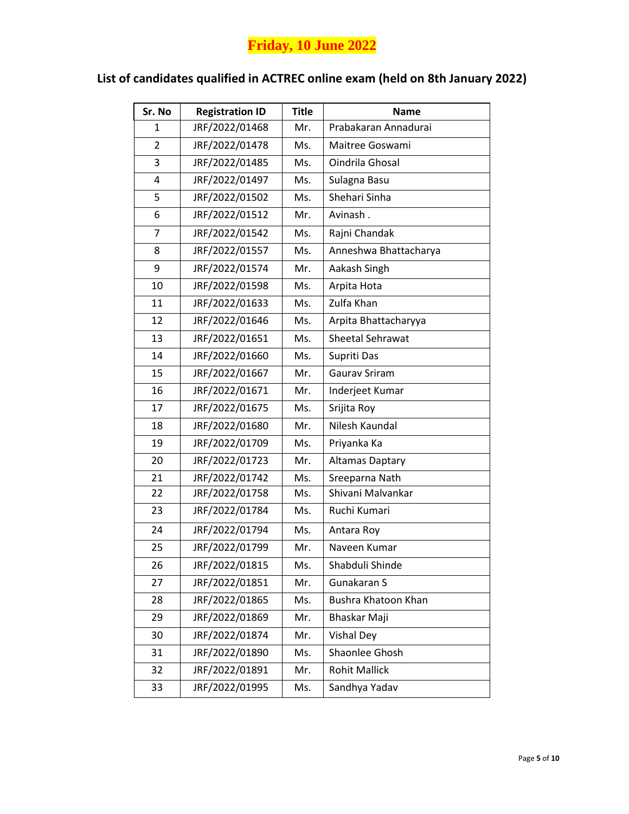# **Friday, 10 June 2022**

| <b>Registration ID</b> | <b>Title</b> | <b>Name</b>           |
|------------------------|--------------|-----------------------|
| JRF/2022/01468         | Mr.          | Prabakaran Annadurai  |
| JRF/2022/01478         | Ms.          | Maitree Goswami       |
| JRF/2022/01485         | Ms.          | Oindrila Ghosal       |
| JRF/2022/01497         | Ms.          | Sulagna Basu          |
| JRF/2022/01502         | Ms.          | Shehari Sinha         |
| JRF/2022/01512         | Mr.          | Avinash.              |
| JRF/2022/01542         | Ms.          | Rajni Chandak         |
| JRF/2022/01557         | Ms.          | Anneshwa Bhattacharya |
| JRF/2022/01574         | Mr.          | Aakash Singh          |
| JRF/2022/01598         | Ms.          | Arpita Hota           |
| JRF/2022/01633         | Ms.          | Zulfa Khan            |
| JRF/2022/01646         | Ms.          | Arpita Bhattacharyya  |
| JRF/2022/01651         | Ms.          | Sheetal Sehrawat      |
| JRF/2022/01660         | Ms.          | Supriti Das           |
| JRF/2022/01667         | Mr.          | Gaurav Sriram         |
| JRF/2022/01671         | Mr.          | Inderjeet Kumar       |
| JRF/2022/01675         | Ms.          | Srijita Roy           |
| JRF/2022/01680         | Mr.          | Nilesh Kaundal        |
| JRF/2022/01709         | Ms.          | Priyanka Ka           |
| JRF/2022/01723         | Mr.          | Altamas Daptary       |
| JRF/2022/01742         | Ms.          | Sreeparna Nath        |
| JRF/2022/01758         | Ms.          | Shivani Malvankar     |
| JRF/2022/01784         | Ms.          | Ruchi Kumari          |
| JRF/2022/01794         | Ms.          | Antara Roy            |
| JRF/2022/01799         | Mr.          | Naveen Kumar          |
| JRF/2022/01815         | Ms.          | Shabduli Shinde       |
| JRF/2022/01851         | Mr.          | Gunakaran S           |
| JRF/2022/01865         | Ms.          | Bushra Khatoon Khan   |
| JRF/2022/01869         | Mr.          | Bhaskar Maji          |
| JRF/2022/01874         | Mr.          | <b>Vishal Dey</b>     |
| JRF/2022/01890         | Ms.          | Shaonlee Ghosh        |
| JRF/2022/01891         | Mr.          | <b>Rohit Mallick</b>  |
| JRF/2022/01995         | Ms.          | Sandhya Yadav         |
|                        |              |                       |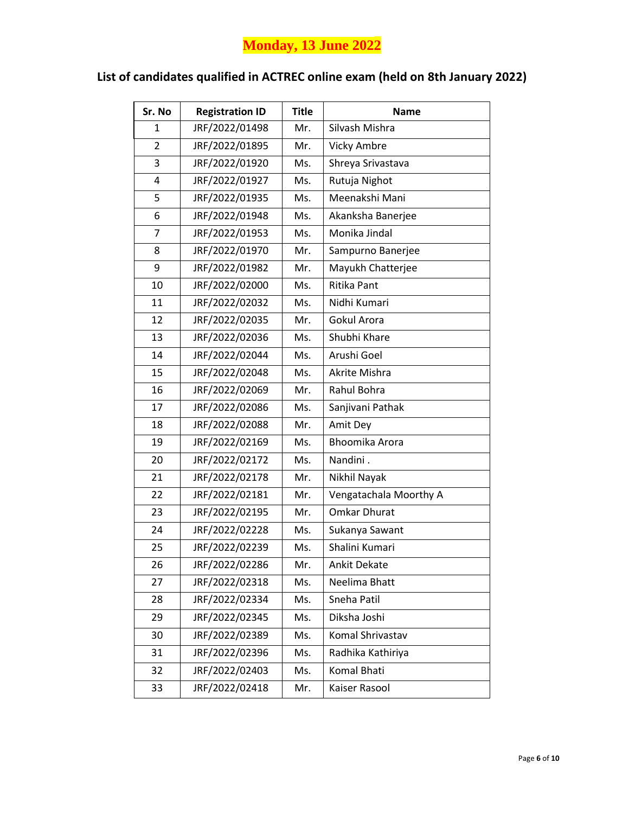# **Monday, 13 June 2022**

| <b>Registration ID</b> | <b>Title</b> | <b>Name</b>            |
|------------------------|--------------|------------------------|
| JRF/2022/01498         | Mr.          | Silvash Mishra         |
| JRF/2022/01895         | Mr.          | <b>Vicky Ambre</b>     |
| JRF/2022/01920         | Ms.          | Shreya Srivastava      |
| JRF/2022/01927         | Ms.          | Rutuja Nighot          |
| JRF/2022/01935         | Ms.          | Meenakshi Mani         |
| JRF/2022/01948         | Ms.          | Akanksha Banerjee      |
| JRF/2022/01953         | Ms.          | Monika Jindal          |
| JRF/2022/01970         | Mr.          | Sampurno Banerjee      |
| JRF/2022/01982         | Mr.          | Mayukh Chatterjee      |
| JRF/2022/02000         | Ms.          | <b>Ritika Pant</b>     |
| JRF/2022/02032         | Ms.          | Nidhi Kumari           |
| JRF/2022/02035         | Mr.          | Gokul Arora            |
| JRF/2022/02036         | Ms.          | Shubhi Khare           |
| JRF/2022/02044         | Ms.          | Arushi Goel            |
| JRF/2022/02048         | Ms.          | Akrite Mishra          |
| JRF/2022/02069         | Mr.          | Rahul Bohra            |
| JRF/2022/02086         | Ms.          | Sanjivani Pathak       |
| JRF/2022/02088         | Mr.          | Amit Dey               |
| JRF/2022/02169         | Ms.          | Bhoomika Arora         |
| JRF/2022/02172         | Ms.          | Nandini.               |
| JRF/2022/02178         | Mr.          | Nikhil Nayak           |
| JRF/2022/02181         | Mr.          | Vengatachala Moorthy A |
| JRF/2022/02195         | Mr.          | <b>Omkar Dhurat</b>    |
| JRF/2022/02228         | Ms.          | Sukanya Sawant         |
| JRF/2022/02239         | Ms.          | Shalini Kumari         |
| JRF/2022/02286         | Mr.          | <b>Ankit Dekate</b>    |
| JRF/2022/02318         | Ms.          | Neelima Bhatt          |
| JRF/2022/02334         | Ms.          | Sneha Patil            |
| JRF/2022/02345         | Ms.          | Diksha Joshi           |
| JRF/2022/02389         | Ms.          | Komal Shrivastav       |
| JRF/2022/02396         | Ms.          | Radhika Kathiriya      |
| JRF/2022/02403         | Ms.          | Komal Bhati            |
| JRF/2022/02418         | Mr.          | Kaiser Rasool          |
|                        |              |                        |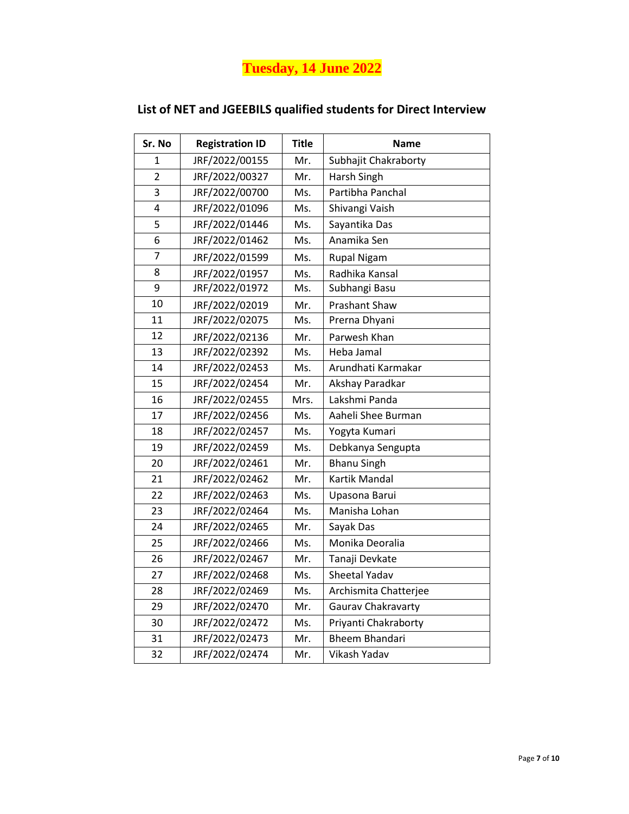**Tuesday, 14 June 2022**

| Sr. No         | <b>Registration ID</b> | <b>Title</b> | <b>Name</b>           |
|----------------|------------------------|--------------|-----------------------|
| 1              | JRF/2022/00155         | Mr.          | Subhajit Chakraborty  |
| $\overline{2}$ | JRF/2022/00327         | Mr.          | Harsh Singh           |
| 3              | JRF/2022/00700         | Ms.          | Partibha Panchal      |
| 4              | JRF/2022/01096         | Ms.          | Shivangi Vaish        |
| 5              | JRF/2022/01446         | Ms.          | Sayantika Das         |
| 6              | JRF/2022/01462         | Ms.          | Anamika Sen           |
| 7              | JRF/2022/01599         | Ms.          | <b>Rupal Nigam</b>    |
| 8              | JRF/2022/01957         | Ms.          | Radhika Kansal        |
| 9              | JRF/2022/01972         | Ms.          | Subhangi Basu         |
| 10             | JRF/2022/02019         | Mr.          | <b>Prashant Shaw</b>  |
| 11             | JRF/2022/02075         | Ms.          | Prerna Dhyani         |
| 12             | JRF/2022/02136         | Mr.          | Parwesh Khan          |
| 13             | JRF/2022/02392         | Ms.          | Heba Jamal            |
| 14             | JRF/2022/02453         | Ms.          | Arundhati Karmakar    |
| 15             | JRF/2022/02454         | Mr.          | Akshay Paradkar       |
| 16             | JRF/2022/02455         | Mrs.         | Lakshmi Panda         |
| 17             | JRF/2022/02456         | Ms.          | Aaheli Shee Burman    |
| 18             | JRF/2022/02457         | Ms.          | Yogyta Kumari         |
| 19             | JRF/2022/02459         | Ms.          | Debkanya Sengupta     |
| 20             | JRF/2022/02461         | Mr.          | <b>Bhanu Singh</b>    |
| 21             | JRF/2022/02462         | Mr.          | Kartik Mandal         |
| 22             | JRF/2022/02463         | Ms.          | Upasona Barui         |
| 23             | JRF/2022/02464         | Ms.          | Manisha Lohan         |
| 24             | JRF/2022/02465         | Mr.          | Sayak Das             |
| 25             | JRF/2022/02466         | Ms.          | Monika Deoralia       |
| 26             | JRF/2022/02467         | Mr.          | Tanaji Devkate        |
| 27             | JRF/2022/02468         | Ms.          | Sheetal Yadav         |
| 28             | JRF/2022/02469         | Ms.          | Archismita Chatterjee |
| 29             | JRF/2022/02470         | Mr.          | Gaurav Chakravarty    |
| 30             | JRF/2022/02472         | Ms.          | Priyanti Chakraborty  |
| 31             | JRF/2022/02473         | Mr.          | <b>Bheem Bhandari</b> |
| 32             | JRF/2022/02474         | Mr.          | Vikash Yadav          |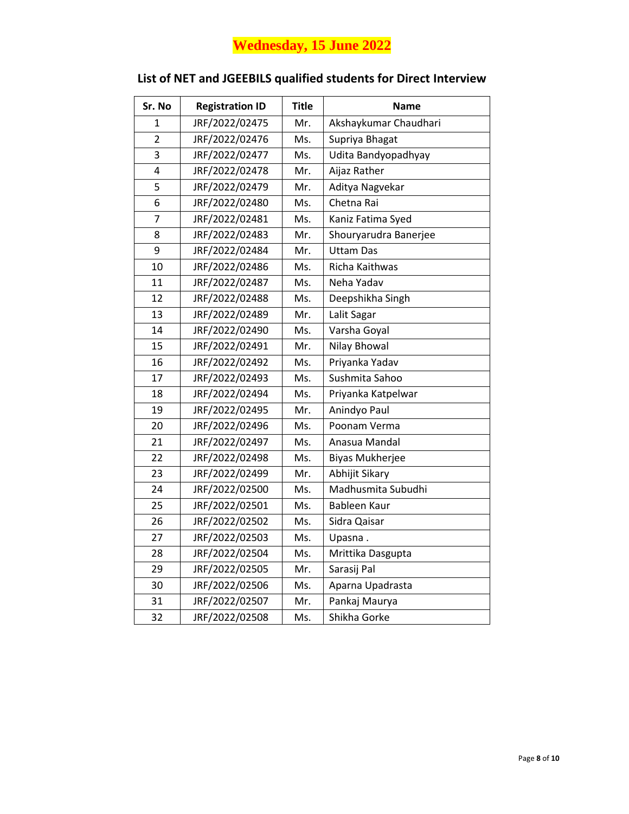# **Wednesday, 15 June 2022**

| Sr. No         | <b>Registration ID</b> | <b>Title</b> | <b>Name</b>           |
|----------------|------------------------|--------------|-----------------------|
| 1              | JRF/2022/02475         | Mr.          | Akshaykumar Chaudhari |
| $\overline{2}$ | JRF/2022/02476         | Ms.          | Supriya Bhagat        |
| 3              | JRF/2022/02477         | Ms.          | Udita Bandyopadhyay   |
| 4              | JRF/2022/02478         | Mr.          | Aijaz Rather          |
| 5              | JRF/2022/02479         | Mr.          | Aditya Nagvekar       |
| 6              | JRF/2022/02480         | Ms.          | Chetna Rai            |
| 7              | JRF/2022/02481         | Ms.          | Kaniz Fatima Syed     |
| 8              | JRF/2022/02483         | Mr.          | Shouryarudra Banerjee |
| 9              | JRF/2022/02484         | Mr.          | <b>Uttam Das</b>      |
| 10             | JRF/2022/02486         | Ms.          | Richa Kaithwas        |
| 11             | JRF/2022/02487         | Ms.          | Neha Yadav            |
| 12             | JRF/2022/02488         | Ms.          | Deepshikha Singh      |
| 13             | JRF/2022/02489         | Mr.          | Lalit Sagar           |
| 14             | JRF/2022/02490         | Ms.          | Varsha Goyal          |
| 15             | JRF/2022/02491         | Mr.          | Nilay Bhowal          |
| 16             | JRF/2022/02492         | Ms.          | Priyanka Yadav        |
| 17             | JRF/2022/02493         | Ms.          | Sushmita Sahoo        |
| 18             | JRF/2022/02494         | Ms.          | Priyanka Katpelwar    |
| 19             | JRF/2022/02495         | Mr.          | Anindyo Paul          |
| 20             | JRF/2022/02496         | Ms.          | Poonam Verma          |
| 21             | JRF/2022/02497         | Ms.          | Anasua Mandal         |
| 22             | JRF/2022/02498         | Ms.          | Biyas Mukherjee       |
| 23             | JRF/2022/02499         | Mr.          | Abhijit Sikary        |
| 24             | JRF/2022/02500         | Ms.          | Madhusmita Subudhi    |
| 25             | JRF/2022/02501         | Ms.          | Bableen Kaur          |
| 26             | JRF/2022/02502         | Ms.          | Sidra Qaisar          |
| 27             | JRF/2022/02503         | Ms.          | Upasna.               |
| 28             | JRF/2022/02504         | Ms.          | Mrittika Dasgupta     |
| 29             | JRF/2022/02505         | Mr.          | Sarasij Pal           |
| 30             | JRF/2022/02506         | Ms.          | Aparna Upadrasta      |
| 31             | JRF/2022/02507         | Mr.          | Pankaj Maurya         |
| 32             | JRF/2022/02508         | Ms.          | Shikha Gorke          |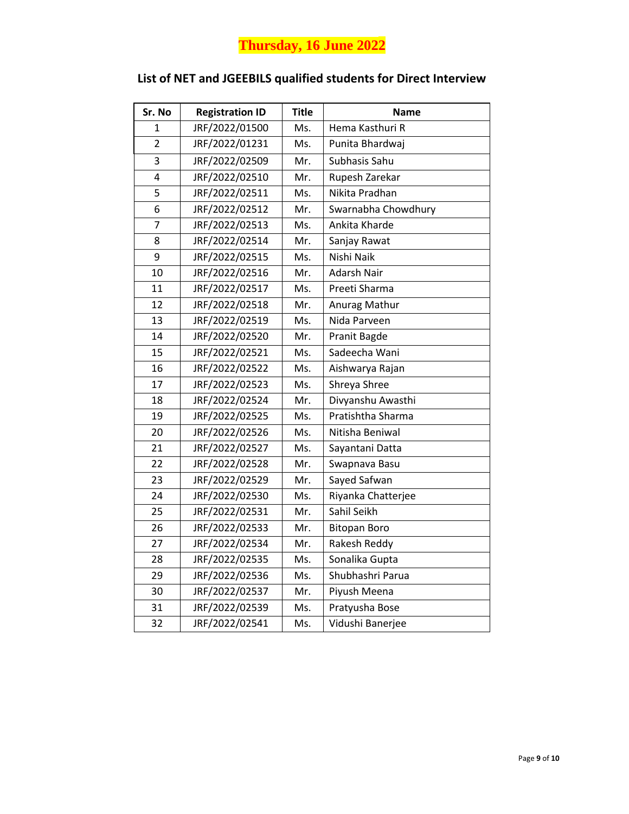# **Thursday, 16 June 2022**

| Sr. No         | <b>Registration ID</b> | <b>Title</b> | Name                |
|----------------|------------------------|--------------|---------------------|
| 1              | JRF/2022/01500         | Ms.          | Hema Kasthuri R     |
| $\overline{2}$ | JRF/2022/01231         | Ms.          | Punita Bhardwaj     |
| 3              | JRF/2022/02509         | Mr.          | Subhasis Sahu       |
| 4              | JRF/2022/02510         | Mr.          | Rupesh Zarekar      |
| 5              | JRF/2022/02511         | Ms.          | Nikita Pradhan      |
| 6              | JRF/2022/02512         | Mr.          | Swarnabha Chowdhury |
| 7              | JRF/2022/02513         | Ms.          | Ankita Kharde       |
| 8              | JRF/2022/02514         | Mr.          | Sanjay Rawat        |
| 9              | JRF/2022/02515         | Ms.          | Nishi Naik          |
| 10             | JRF/2022/02516         | Mr.          | Adarsh Nair         |
| 11             | JRF/2022/02517         | Ms.          | Preeti Sharma       |
| 12             | JRF/2022/02518         | Mr.          | Anurag Mathur       |
| 13             | JRF/2022/02519         | Ms.          | Nida Parveen        |
| 14             | JRF/2022/02520         | Mr.          | Pranit Bagde        |
| 15             | JRF/2022/02521         | Ms.          | Sadeecha Wani       |
| 16             | JRF/2022/02522         | Ms.          | Aishwarya Rajan     |
| 17             | JRF/2022/02523         | Ms.          | Shreya Shree        |
| 18             | JRF/2022/02524         | Mr.          | Divyanshu Awasthi   |
| 19             | JRF/2022/02525         | Ms.          | Pratishtha Sharma   |
| 20             | JRF/2022/02526         | Ms.          | Nitisha Beniwal     |
| 21             | JRF/2022/02527         | Ms.          | Sayantani Datta     |
| 22             | JRF/2022/02528         | Mr.          | Swapnava Basu       |
| 23             | JRF/2022/02529         | Mr.          | Sayed Safwan        |
| 24             | JRF/2022/02530         | Ms.          | Riyanka Chatterjee  |
| 25             | JRF/2022/02531         | Mr.          | Sahil Seikh         |
| 26             | JRF/2022/02533         | Mr.          | <b>Bitopan Boro</b> |
| 27             | JRF/2022/02534         | Mr.          | Rakesh Reddy        |
| 28             | JRF/2022/02535         | Ms.          | Sonalika Gupta      |
| 29             | JRF/2022/02536         | Ms.          | Shubhashri Parua    |
| 30             | JRF/2022/02537         | Mr.          | Piyush Meena        |
| 31             | JRF/2022/02539         | Ms.          | Pratyusha Bose      |
| 32             | JRF/2022/02541         | Ms.          | Vidushi Banerjee    |